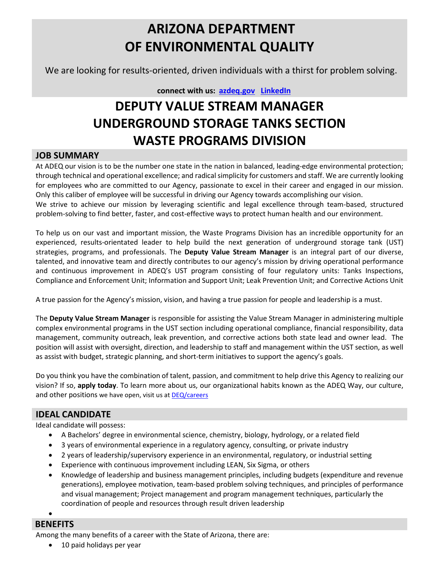# **ARIZONA DEPARTMENT OF ENVIRONMENTAL QUALITY**

We are looking for results-oriented, driven individuals with a thirst for problem solving.

#### **connect with us: [azdeq.gov](http://www.azdeq.gov/) [LinkedIn](https://www.linkedin.com/company/arizona-department-of-environmental-quality)**

## **DEPUTY VALUE STREAM MANAGER UNDERGROUND STORAGE TANKS SECTION WASTE PROGRAMS DIVISION**

#### **JOB SUMMARY**

At ADEQ our vision is to be the number one state in the nation in balanced, leading-edge environmental protection; through technical and operational excellence; and radical simplicity for customers and staff. We are currently looking for employees who are committed to our Agency, passionate to excel in their career and engaged in our mission. Only this caliber of employee will be successful in driving our Agency towards accomplishing our vision.

We strive to achieve our mission by leveraging scientific and legal excellence through team-based, structured problem-solving to find better, faster, and cost-effective ways to protect human health and our environment.

To help us on our vast and important mission, the Waste Programs Division has an incredible opportunity for an experienced, results-orientated leader to help build the next generation of underground storage tank (UST) strategies, programs, and professionals. The **Deputy Value Stream Manager** is an integral part of our diverse, talented, and innovative team and directly contributes to our agency's mission by driving operational performance and continuous improvement in ADEQ's UST program consisting of four regulatory units: Tanks Inspections, Compliance and Enforcement Unit; Information and Support Unit; Leak Prevention Unit; and Corrective Actions Unit

A true passion for the Agency's mission, vision, and having a true passion for people and leadership is a must.

The **Deputy Value Stream Manager** is responsible for assisting the Value Stream Manager in administering multiple complex environmental programs in the UST section including operational compliance, financial responsibility, data management, community outreach, leak prevention, and corrective actions both state lead and owner lead. The position will assist with oversight, direction, and leadership to staff and management within the UST section, as well as assist with budget, strategic planning, and short-term initiatives to support the agency's goals.

Do you think you have the combination of talent, passion, and commitment to help drive this Agency to realizing our vision? If so, **apply today**. To learn more about us, our organizational habits known as the ADEQ Way, our culture, and other positions we have open, visit us a[t DEQ/careers](https://azdeq.gov/careers)

### **IDEAL CANDIDATE**

Ideal candidate will possess:

- A Bachelors' degree in environmental science, chemistry, biology, hydrology, or a related field
- 3 years of environmental experience in a regulatory agency, consulting, or private industry
- 2 years of leadership/supervisory experience in an environmental, regulatory, or industrial setting
- Experience with continuous improvement including LEAN, Six Sigma, or others
- Knowledge of leadership and business management principles, including budgets (expenditure and revenue generations), employee motivation, team-based problem solving techniques, and principles of performance and visual management; Project management and program management techniques, particularly the coordination of people and resources through result driven leadership

•

### **BENEFITS**

Among the many benefits of a career with the State of Arizona, there are:

• 10 paid holidays per year